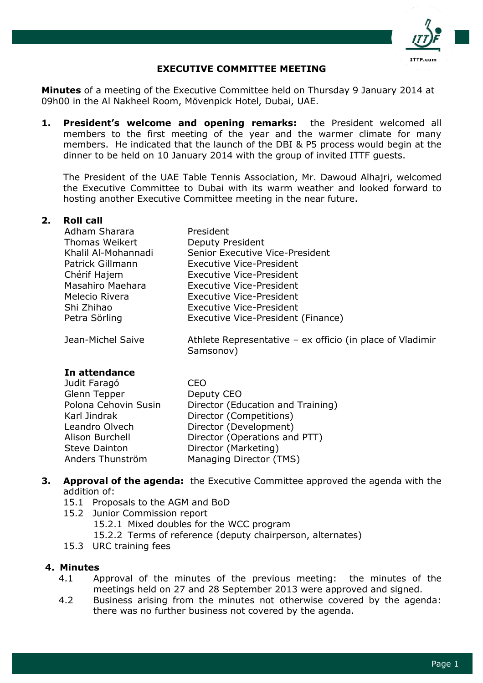

# **EXECUTIVE COMMITTEE MEETING**

**Minutes** of a meeting of the Executive Committee held on Thursday 9 January 2014 at 09h00 in the Al Nakheel Room, Mövenpick Hotel, Dubai, UAE.

**1. President's welcome and opening remarks:** the President welcomed all members to the first meeting of the year and the warmer climate for many members. He indicated that the launch of the DBI & P5 process would begin at the dinner to be held on 10 January 2014 with the group of invited ITTF guests.

The President of the UAE Table Tennis Association, Mr. Dawoud Alhajri, welcomed the Executive Committee to Dubai with its warm weather and looked forward to hosting another Executive Committee meeting in the near future.

### **2. Roll call**

| Adham Sharara         | President                                                              |
|-----------------------|------------------------------------------------------------------------|
| <b>Thomas Weikert</b> | <b>Deputy President</b>                                                |
| Khalil Al-Mohannadi   | Senior Executive Vice-President                                        |
| Patrick Gillmann      | <b>Executive Vice-President</b>                                        |
| Chérif Hajem          | <b>Executive Vice-President</b>                                        |
| Masahiro Maehara      | Executive Vice-President                                               |
| Melecio Rivera        | <b>Executive Vice-President</b>                                        |
| Shi Zhihao            | <b>Executive Vice-President</b>                                        |
| Petra Sörling         | Executive Vice-President (Finance)                                     |
| Jean-Michel Saive     | Athlete Representative – ex officio (in place of Vladimir<br>Samsonov) |

### **In attendance**

| CFΩ                               |
|-----------------------------------|
| Deputy CEO                        |
| Director (Education and Training) |
| Director (Competitions)           |
| Director (Development)            |
| Director (Operations and PTT)     |
| Director (Marketing)              |
| Managing Director (TMS)           |
|                                   |

### **3. Approval of the agenda:** the Executive Committee approved the agenda with the addition of:

- 15.1 Proposals to the AGM and BoD
- 15.2 Junior Commission report
	- 15.2.1 Mixed doubles for the WCC program
	- 15.2.2 Terms of reference (deputy chairperson, alternates)
- 15.3 URC training fees

# **4. Minutes**

- 4.1 Approval of the minutes of the previous meeting: the minutes of the meetings held on 27 and 28 September 2013 were approved and signed.
- 4.2 Business arising from the minutes not otherwise covered by the agenda: there was no further business not covered by the agenda.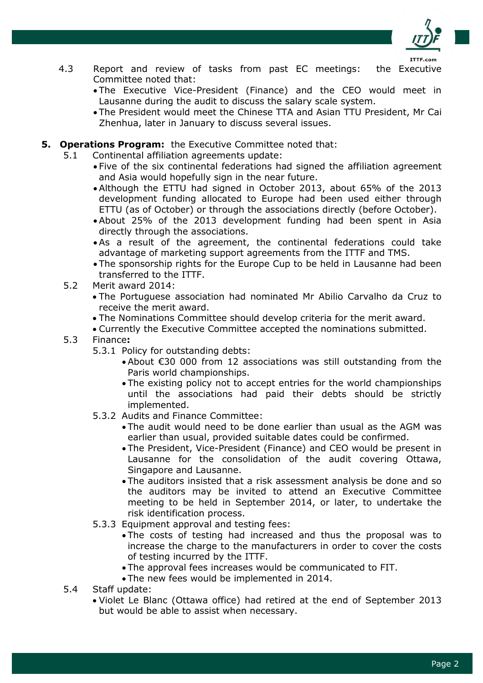

- 4.3 Report and review of tasks from past EC meetings: the Executive Committee noted that:
	- The Executive Vice-President (Finance) and the CEO would meet in Lausanne during the audit to discuss the salary scale system.
	- The President would meet the Chinese TTA and Asian TTU President, Mr Cai Zhenhua, later in January to discuss several issues.

### **5. Operations Program:** the Executive Committee noted that:

- 5.1 Continental affiliation agreements update:
	- Five of the six continental federations had signed the affiliation agreement and Asia would hopefully sign in the near future.
	- Although the ETTU had signed in October 2013, about 65% of the 2013 development funding allocated to Europe had been used either through ETTU (as of October) or through the associations directly (before October).
	- About 25% of the 2013 development funding had been spent in Asia directly through the associations.
	- As a result of the agreement, the continental federations could take advantage of marketing support agreements from the ITTF and TMS.
	- The sponsorship rights for the Europe Cup to be held in Lausanne had been transferred to the ITTF.

### 5.2 Merit award 2014:

- The Portuguese association had nominated Mr Abilio Carvalho da Cruz to receive the merit award.
- The Nominations Committee should develop criteria for the merit award.

Currently the Executive Committee accepted the nominations submitted.

- 5.3 Finance**:**
	- 5.3.1 Policy for outstanding debts:
		- About €30 000 from 12 associations was still outstanding from the Paris world championships.
		- The existing policy not to accept entries for the world championships until the associations had paid their debts should be strictly implemented.
	- 5.3.2 Audits and Finance Committee:
		- The audit would need to be done earlier than usual as the AGM was earlier than usual, provided suitable dates could be confirmed.
		- The President, Vice-President (Finance) and CEO would be present in Lausanne for the consolidation of the audit covering Ottawa, Singapore and Lausanne.
		- The auditors insisted that a risk assessment analysis be done and so the auditors may be invited to attend an Executive Committee meeting to be held in September 2014, or later, to undertake the risk identification process.
	- 5.3.3 Equipment approval and testing fees:
		- The costs of testing had increased and thus the proposal was to increase the charge to the manufacturers in order to cover the costs of testing incurred by the ITTF.
		- The approval fees increases would be communicated to FIT.
		- The new fees would be implemented in 2014.
- 5.4 Staff update:
	- Violet Le Blanc (Ottawa office) had retired at the end of September 2013 but would be able to assist when necessary.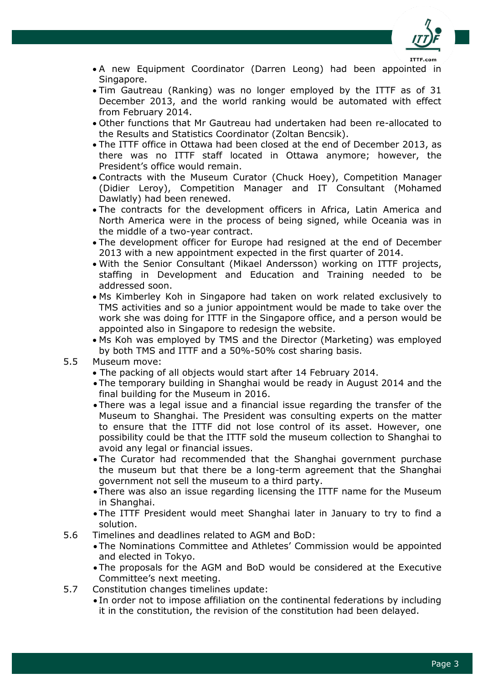

- A new Equipment Coordinator (Darren Leong) had been appointed in Singapore.
- Tim Gautreau (Ranking) was no longer employed by the ITTF as of 31 December 2013, and the world ranking would be automated with effect from February 2014.
- Other functions that Mr Gautreau had undertaken had been re-allocated to the Results and Statistics Coordinator (Zoltan Bencsik).
- The ITTF office in Ottawa had been closed at the end of December 2013, as there was no ITTF staff located in Ottawa anymore; however, the President's office would remain.
- Contracts with the Museum Curator (Chuck Hoey), Competition Manager (Didier Leroy), Competition Manager and IT Consultant (Mohamed Dawlatly) had been renewed.
- The contracts for the development officers in Africa, Latin America and North America were in the process of being signed, while Oceania was in the middle of a two-year contract.
- The development officer for Europe had resigned at the end of December 2013 with a new appointment expected in the first quarter of 2014.
- With the Senior Consultant (Mikael Andersson) working on ITTF projects, staffing in Development and Education and Training needed to be addressed soon.
- Ms Kimberley Koh in Singapore had taken on work related exclusively to TMS activities and so a junior appointment would be made to take over the work she was doing for ITTF in the Singapore office, and a person would be appointed also in Singapore to redesign the website.
- Ms Koh was employed by TMS and the Director (Marketing) was employed by both TMS and ITTF and a 50%-50% cost sharing basis.
- 5.5 Museum move:
	- The packing of all objects would start after 14 February 2014.
	- The temporary building in Shanghai would be ready in August 2014 and the final building for the Museum in 2016.
	- There was a legal issue and a financial issue regarding the transfer of the Museum to Shanghai. The President was consulting experts on the matter to ensure that the ITTF did not lose control of its asset. However, one possibility could be that the ITTF sold the museum collection to Shanghai to avoid any legal or financial issues.
	- The Curator had recommended that the Shanghai government purchase the museum but that there be a long-term agreement that the Shanghai government not sell the museum to a third party.
	- There was also an issue regarding licensing the ITTF name for the Museum in Shanghai.
	- The ITTF President would meet Shanghai later in January to try to find a solution.
- 5.6 Timelines and deadlines related to AGM and BoD:
	- The Nominations Committee and Athletes' Commission would be appointed and elected in Tokyo.
	- The proposals for the AGM and BoD would be considered at the Executive Committee's next meeting.
- 5.7 Constitution changes timelines update:
	- In order not to impose affiliation on the continental federations by including it in the constitution, the revision of the constitution had been delayed.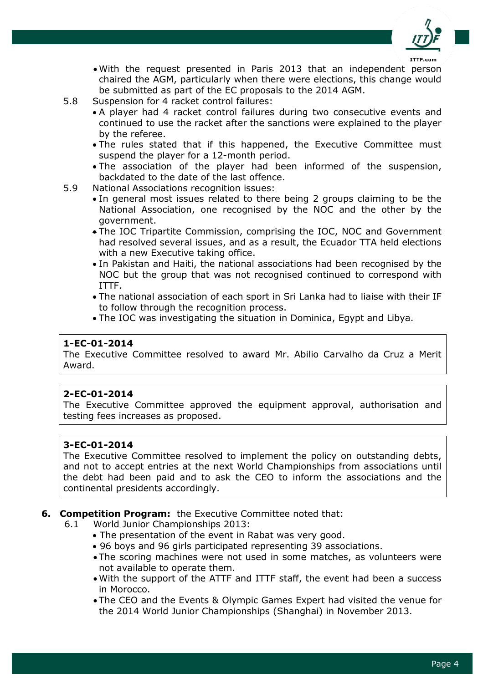

- With the request presented in Paris 2013 that an independent person chaired the AGM, particularly when there were elections, this change would be submitted as part of the EC proposals to the 2014 AGM.
- 5.8 Suspension for 4 racket control failures:
	- A player had 4 racket control failures during two consecutive events and continued to use the racket after the sanctions were explained to the player by the referee.
	- The rules stated that if this happened, the Executive Committee must suspend the player for a 12-month period.
	- The association of the player had been informed of the suspension, backdated to the date of the last offence.
- 5.9 National Associations recognition issues:
	- In general most issues related to there being 2 groups claiming to be the National Association, one recognised by the NOC and the other by the government.
	- The IOC Tripartite Commission, comprising the IOC, NOC and Government had resolved several issues, and as a result, the Ecuador TTA held elections with a new Executive taking office.
	- In Pakistan and Haiti, the national associations had been recognised by the NOC but the group that was not recognised continued to correspond with ITTF.
	- The national association of each sport in Sri Lanka had to liaise with their IF to follow through the recognition process.
	- The IOC was investigating the situation in Dominica, Egypt and Libya.

The Executive Committee resolved to award Mr. Abilio Carvalho da Cruz a Merit Award.

# **2-EC-01-2014**

The Executive Committee approved the equipment approval, authorisation and testing fees increases as proposed.

### **3-EC-01-2014**

The Executive Committee resolved to implement the policy on outstanding debts, and not to accept entries at the next World Championships from associations until the debt had been paid and to ask the CEO to inform the associations and the continental presidents accordingly.

### **6. Competition Program:** the Executive Committee noted that:

- 6.1 World Junior Championships 2013:
	- The presentation of the event in Rabat was very good.
	- 96 boys and 96 girls participated representing 39 associations.
	- The scoring machines were not used in some matches, as volunteers were not available to operate them.
	- With the support of the ATTF and ITTF staff, the event had been a success in Morocco.
	- The CEO and the Events & Olympic Games Expert had visited the venue for the 2014 World Junior Championships (Shanghai) in November 2013.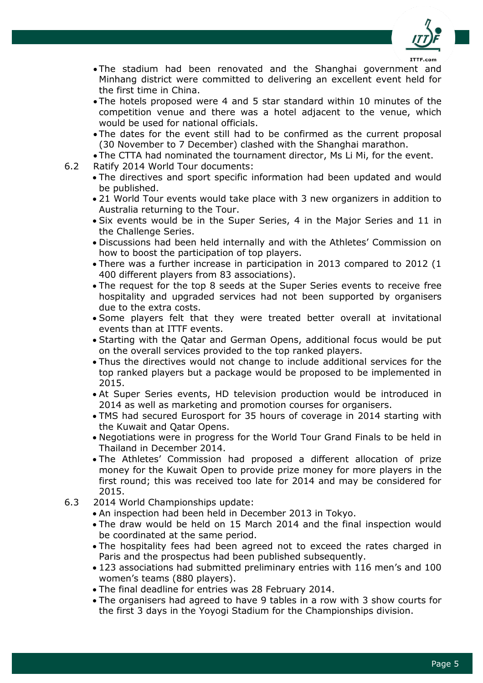

ITTF.com

- The stadium had been renovated and the Shanghai government and Minhang district were committed to delivering an excellent event held for the first time in China.
- The hotels proposed were 4 and 5 star standard within 10 minutes of the competition venue and there was a hotel adjacent to the venue, which would be used for national officials.
- The dates for the event still had to be confirmed as the current proposal (30 November to 7 December) clashed with the Shanghai marathon.
- The CTTA had nominated the tournament director, Ms Li Mi, for the event.
- 6.2 Ratify 2014 World Tour documents:
	- The directives and sport specific information had been updated and would be published.
	- 21 World Tour events would take place with 3 new organizers in addition to Australia returning to the Tour.
	- Six events would be in the Super Series, 4 in the Major Series and 11 in the Challenge Series.
	- Discussions had been held internally and with the Athletes' Commission on how to boost the participation of top players.
	- There was a further increase in participation in 2013 compared to 2012 (1) 400 different players from 83 associations).
	- The request for the top 8 seeds at the Super Series events to receive free hospitality and upgraded services had not been supported by organisers due to the extra costs.
	- Some players felt that they were treated better overall at invitational events than at ITTF events.
	- Starting with the Qatar and German Opens, additional focus would be put on the overall services provided to the top ranked players.
	- Thus the directives would not change to include additional services for the top ranked players but a package would be proposed to be implemented in 2015.
	- At Super Series events, HD television production would be introduced in 2014 as well as marketing and promotion courses for organisers.
	- TMS had secured Eurosport for 35 hours of coverage in 2014 starting with the Kuwait and Qatar Opens.
	- Negotiations were in progress for the World Tour Grand Finals to be held in Thailand in December 2014.
	- The Athletes' Commission had proposed a different allocation of prize money for the Kuwait Open to provide prize money for more players in the first round; this was received too late for 2014 and may be considered for 2015.
- 6.3 2014 World Championships update:
	- An inspection had been held in December 2013 in Tokyo.
	- The draw would be held on 15 March 2014 and the final inspection would be coordinated at the same period.
	- The hospitality fees had been agreed not to exceed the rates charged in Paris and the prospectus had been published subsequently.
	- 123 associations had submitted preliminary entries with 116 men's and 100 women's teams (880 players).
	- The final deadline for entries was 28 February 2014.
	- The organisers had agreed to have 9 tables in a row with 3 show courts for the first 3 days in the Yoyogi Stadium for the Championships division.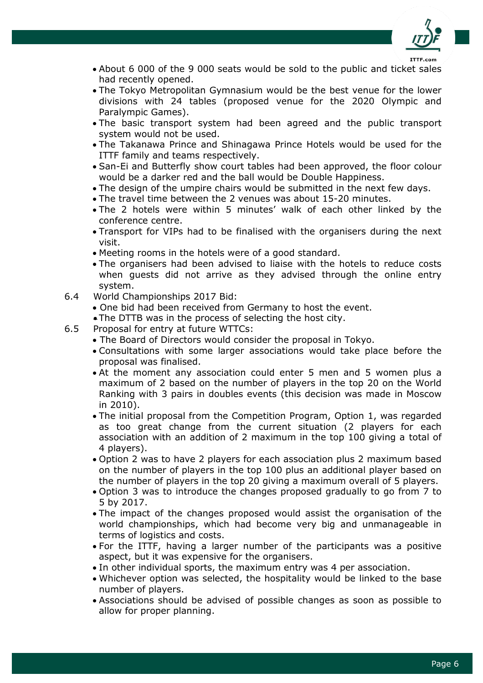

- About 6 000 of the 9 000 seats would be sold to the public and ticket sales had recently opened.
- The Tokyo Metropolitan Gymnasium would be the best venue for the lower divisions with 24 tables (proposed venue for the 2020 Olympic and Paralympic Games).
- The basic transport system had been agreed and the public transport system would not be used.
- The Takanawa Prince and Shinagawa Prince Hotels would be used for the ITTF family and teams respectively.
- San-Ei and Butterfly show court tables had been approved, the floor colour would be a darker red and the ball would be Double Happiness.
- The design of the umpire chairs would be submitted in the next few days.
- The travel time between the 2 venues was about 15-20 minutes.
- The 2 hotels were within 5 minutes' walk of each other linked by the conference centre.
- Transport for VIPs had to be finalised with the organisers during the next visit.
- Meeting rooms in the hotels were of a good standard.
- The organisers had been advised to liaise with the hotels to reduce costs when guests did not arrive as they advised through the online entry system.
- 6.4 World Championships 2017 Bid:
	- One bid had been received from Germany to host the event.
	- The DTTB was in the process of selecting the host city.
- 6.5 Proposal for entry at future WTTCs:
	- The Board of Directors would consider the proposal in Tokyo.
	- Consultations with some larger associations would take place before the proposal was finalised.
	- At the moment any association could enter 5 men and 5 women plus a maximum of 2 based on the number of players in the top 20 on the World Ranking with 3 pairs in doubles events (this decision was made in Moscow in 2010).
	- The initial proposal from the Competition Program, Option 1, was regarded as too great change from the current situation (2 players for each association with an addition of 2 maximum in the top 100 giving a total of 4 players).
	- Option 2 was to have 2 players for each association plus 2 maximum based on the number of players in the top 100 plus an additional player based on the number of players in the top 20 giving a maximum overall of 5 players.
	- Option 3 was to introduce the changes proposed gradually to go from 7 to 5 by 2017.
	- The impact of the changes proposed would assist the organisation of the world championships, which had become very big and unmanageable in terms of logistics and costs.
	- For the ITTF, having a larger number of the participants was a positive aspect, but it was expensive for the organisers.
	- In other individual sports, the maximum entry was 4 per association.
	- Whichever option was selected, the hospitality would be linked to the base number of players.
	- Associations should be advised of possible changes as soon as possible to allow for proper planning.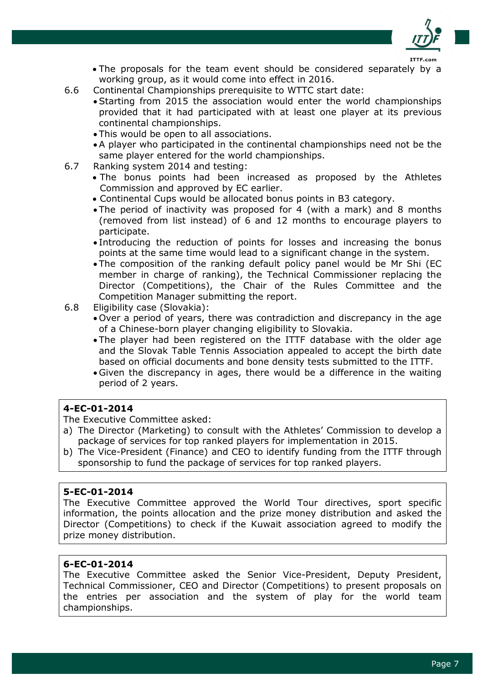

- The proposals for the team event should be considered separately by a working group, as it would come into effect in 2016.
- 6.6 Continental Championships prerequisite to WTTC start date:
	- Starting from 2015 the association would enter the world championships provided that it had participated with at least one player at its previous continental championships.
	- This would be open to all associations.
	- A player who participated in the continental championships need not be the same player entered for the world championships.
- 6.7 Ranking system 2014 and testing:
	- The bonus points had been increased as proposed by the Athletes Commission and approved by EC earlier.
	- Continental Cups would be allocated bonus points in B3 category.
	- The period of inactivity was proposed for 4 (with a mark) and 8 months (removed from list instead) of 6 and 12 months to encourage players to participate.
	- Introducing the reduction of points for losses and increasing the bonus points at the same time would lead to a significant change in the system.
	- The composition of the ranking default policy panel would be Mr Shi (EC member in charge of ranking), the Technical Commissioner replacing the Director (Competitions), the Chair of the Rules Committee and the Competition Manager submitting the report.
- 6.8 Eligibility case (Slovakia):
	- Over a period of years, there was contradiction and discrepancy in the age of a Chinese-born player changing eligibility to Slovakia.
	- The player had been registered on the ITTF database with the older age and the Slovak Table Tennis Association appealed to accept the birth date based on official documents and bone density tests submitted to the ITTF.
	- Given the discrepancy in ages, there would be a difference in the waiting period of 2 years.

The Executive Committee asked:

- a) The Director (Marketing) to consult with the Athletes' Commission to develop a package of services for top ranked players for implementation in 2015.
- b) The Vice-President (Finance) and CEO to identify funding from the ITTF through sponsorship to fund the package of services for top ranked players.

# **5-EC-01-2014**

The Executive Committee approved the World Tour directives, sport specific information, the points allocation and the prize money distribution and asked the Director (Competitions) to check if the Kuwait association agreed to modify the prize money distribution.

# **6-EC-01-2014**

The Executive Committee asked the Senior Vice-President, Deputy President, Technical Commissioner, CEO and Director (Competitions) to present proposals on the entries per association and the system of play for the world team championships.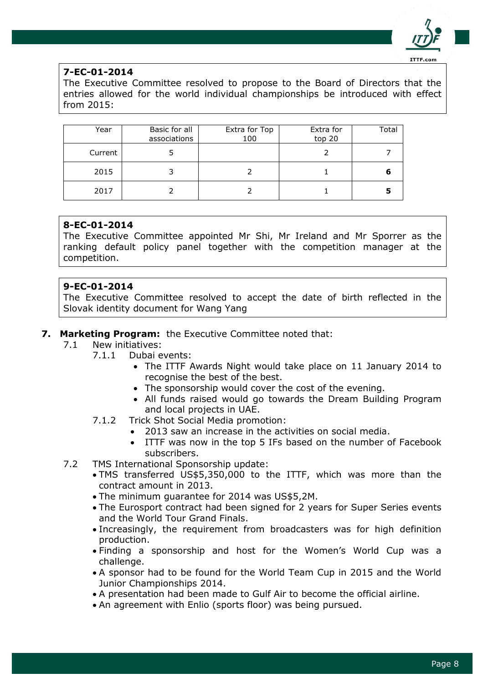

The Executive Committee resolved to propose to the Board of Directors that the entries allowed for the world individual championships be introduced with effect from 2015:

| Year    | Basic for all<br>associations | Extra for Top<br>100 | Extra for<br>top 20 | Total |
|---------|-------------------------------|----------------------|---------------------|-------|
| Current |                               |                      |                     |       |
| 2015    |                               |                      |                     |       |
| 2017    |                               |                      |                     |       |

# **8-EC-01-2014**

The Executive Committee appointed Mr Shi, Mr Ireland and Mr Sporrer as the ranking default policy panel together with the competition manager at the competition.

# **9-EC-01-2014**

The Executive Committee resolved to accept the date of birth reflected in the Slovak identity document for Wang Yang

# **7. Marketing Program:** the Executive Committee noted that:

- 7.1 New initiatives:
	- 7.1.1 Dubai events:
		- The ITTF Awards Night would take place on 11 January 2014 to recognise the best of the best.
		- The sponsorship would cover the cost of the evening.
		- All funds raised would go towards the Dream Building Program and local projects in UAE.
	- 7.1.2 Trick Shot Social Media promotion:
		- 2013 saw an increase in the activities on social media.
		- ITTF was now in the top 5 IFs based on the number of Facebook subscribers.
- 7.2 TMS International Sponsorship update:
	- TMS transferred US\$5,350,000 to the ITTF, which was more than the contract amount in 2013.
	- The minimum guarantee for 2014 was US\$5,2M.
	- The Eurosport contract had been signed for 2 years for Super Series events and the World Tour Grand Finals.
	- Increasingly, the requirement from broadcasters was for high definition production.
	- Finding a sponsorship and host for the Women's World Cup was a challenge.
	- A sponsor had to be found for the World Team Cup in 2015 and the World Junior Championships 2014.
	- A presentation had been made to Gulf Air to become the official airline.
	- An agreement with Enlio (sports floor) was being pursued.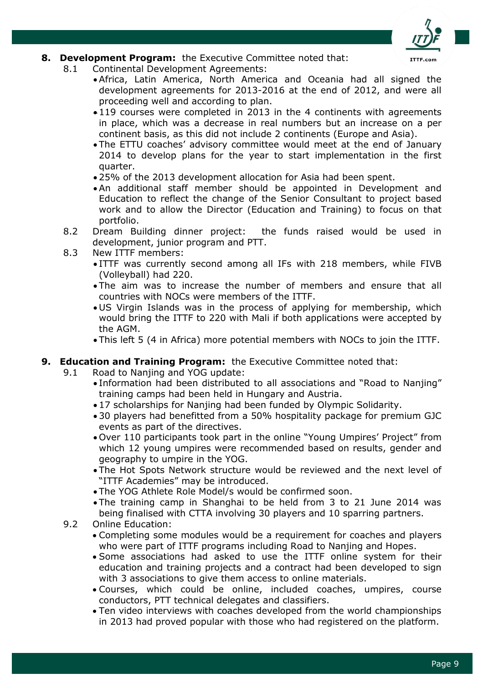

- **8. Development Program:** the Executive Committee noted that:
	- 8.1 Continental Development Agreements:
		- Africa, Latin America, North America and Oceania had all signed the development agreements for 2013-2016 at the end of 2012, and were all proceeding well and according to plan.
		- •119 courses were completed in 2013 in the 4 continents with agreements in place, which was a decrease in real numbers but an increase on a per continent basis, as this did not include 2 continents (Europe and Asia).
		- The ETTU coaches' advisory committee would meet at the end of January 2014 to develop plans for the year to start implementation in the first quarter.
		- 25% of the 2013 development allocation for Asia had been spent.
		- An additional staff member should be appointed in Development and Education to reflect the change of the Senior Consultant to project based work and to allow the Director (Education and Training) to focus on that portfolio.
	- 8.2 Dream Building dinner project: the funds raised would be used in development, junior program and PTT.
	- 8.3 New ITTF members:
		- ITTF was currently second among all IFs with 218 members, while FIVB (Volleyball) had 220.
		- The aim was to increase the number of members and ensure that all countries with NOCs were members of the ITTF.
		- US Virgin Islands was in the process of applying for membership, which would bring the ITTF to 220 with Mali if both applications were accepted by the AGM.
		- This left 5 (4 in Africa) more potential members with NOCs to join the ITTF.
- **9. Education and Training Program:** the Executive Committee noted that:
	- 9.1 Road to Nanjing and YOG update:
		- Information had been distributed to all associations and "Road to Nanjing" training camps had been held in Hungary and Austria.
		- 17 scholarships for Nanjing had been funded by Olympic Solidarity.
		- 30 players had benefitted from a 50% hospitality package for premium GJC events as part of the directives.
		- Over 110 participants took part in the online "Young Umpires' Project" from which 12 young umpires were recommended based on results, gender and geography to umpire in the YOG.
		- The Hot Spots Network structure would be reviewed and the next level of "ITTF Academies" may be introduced.
		- The YOG Athlete Role Model/s would be confirmed soon.
		- The training camp in Shanghai to be held from 3 to 21 June 2014 was being finalised with CTTA involving 30 players and 10 sparring partners.
	- 9.2 Online Education:
		- Completing some modules would be a requirement for coaches and players who were part of ITTF programs including Road to Nanjing and Hopes.
		- Some associations had asked to use the ITTF online system for their education and training projects and a contract had been developed to sign with 3 associations to give them access to online materials.
		- Courses, which could be online, included coaches, umpires, course conductors, PTT technical delegates and classifiers.
		- Ten video interviews with coaches developed from the world championships in 2013 had proved popular with those who had registered on the platform.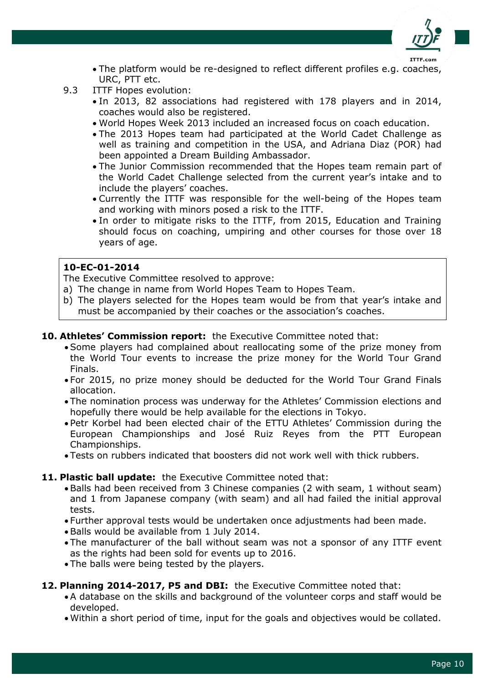

- The platform would be re-designed to reflect different profiles e.g. coaches, URC, PTT etc.
- 9.3 ITTF Hopes evolution:
	- In 2013, 82 associations had registered with 178 players and in 2014, coaches would also be registered.
	- World Hopes Week 2013 included an increased focus on coach education.
	- The 2013 Hopes team had participated at the World Cadet Challenge as well as training and competition in the USA, and Adriana Diaz (POR) had been appointed a Dream Building Ambassador.
	- The Junior Commission recommended that the Hopes team remain part of the World Cadet Challenge selected from the current year's intake and to include the players' coaches.
	- Currently the ITTF was responsible for the well-being of the Hopes team and working with minors posed a risk to the ITTF.
	- In order to mitigate risks to the ITTF, from 2015, Education and Training should focus on coaching, umpiring and other courses for those over 18 years of age.

The Executive Committee resolved to approve:

- a) The change in name from World Hopes Team to Hopes Team.
- b) The players selected for the Hopes team would be from that year's intake and must be accompanied by their coaches or the association's coaches.

# **10. Athletes' Commission report:** the Executive Committee noted that:

- Some players had complained about reallocating some of the prize money from the World Tour events to increase the prize money for the World Tour Grand Finals.
- For 2015, no prize money should be deducted for the World Tour Grand Finals allocation.
- The nomination process was underway for the Athletes' Commission elections and hopefully there would be help available for the elections in Tokyo.
- Petr Korbel had been elected chair of the ETTU Athletes' Commission during the European Championships and José Ruiz Reyes from the PTT European Championships.
- Tests on rubbers indicated that boosters did not work well with thick rubbers.

# **11. Plastic ball update:** the Executive Committee noted that:

- Balls had been received from 3 Chinese companies (2 with seam, 1 without seam) and 1 from Japanese company (with seam) and all had failed the initial approval tests.
- Further approval tests would be undertaken once adjustments had been made.
- Balls would be available from 1 July 2014.
- The manufacturer of the ball without seam was not a sponsor of any ITTF event as the rights had been sold for events up to 2016.
- The balls were being tested by the players.

# **12. Planning 2014-2017, P5 and DBI:** the Executive Committee noted that:

- A database on the skills and background of the volunteer corps and staff would be developed.
- Within a short period of time, input for the goals and objectives would be collated.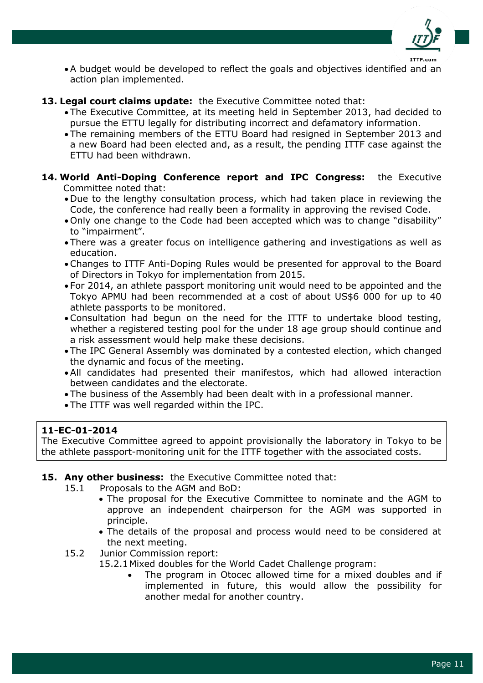

- A budget would be developed to reflect the goals and objectives identified and an action plan implemented.
- **13. Legal court claims update:** the Executive Committee noted that:
	- The Executive Committee, at its meeting held in September 2013, had decided to pursue the ETTU legally for distributing incorrect and defamatory information.
	- The remaining members of the ETTU Board had resigned in September 2013 and a new Board had been elected and, as a result, the pending ITTF case against the ETTU had been withdrawn.
- **14. World Anti-Doping Conference report and IPC Congress:** the Executive Committee noted that:
	- Due to the lengthy consultation process, which had taken place in reviewing the Code, the conference had really been a formality in approving the revised Code.
	- Only one change to the Code had been accepted which was to change "disability" to "impairment".
	- There was a greater focus on intelligence gathering and investigations as well as education.
	- Changes to ITTF Anti-Doping Rules would be presented for approval to the Board of Directors in Tokyo for implementation from 2015.
	- For 2014, an athlete passport monitoring unit would need to be appointed and the Tokyo APMU had been recommended at a cost of about US\$6 000 for up to 40 athlete passports to be monitored.
	- Consultation had begun on the need for the ITTF to undertake blood testing, whether a registered testing pool for the under 18 age group should continue and a risk assessment would help make these decisions.
	- The IPC General Assembly was dominated by a contested election, which changed the dynamic and focus of the meeting.
	- All candidates had presented their manifestos, which had allowed interaction between candidates and the electorate.
	- The business of the Assembly had been dealt with in a professional manner.
	- The ITTF was well regarded within the IPC.

The Executive Committee agreed to appoint provisionally the laboratory in Tokyo to be the athlete passport-monitoring unit for the ITTF together with the associated costs.

# **15. Any other business:** the Executive Committee noted that:

- 15.1 Proposals to the AGM and BoD:
	- The proposal for the Executive Committee to nominate and the AGM to approve an independent chairperson for the AGM was supported in principle.
	- The details of the proposal and process would need to be considered at the next meeting.
- 15.2 Junior Commission report:
	- 15.2.1Mixed doubles for the World Cadet Challenge program:
		- The program in Otocec allowed time for a mixed doubles and if implemented in future, this would allow the possibility for another medal for another country.